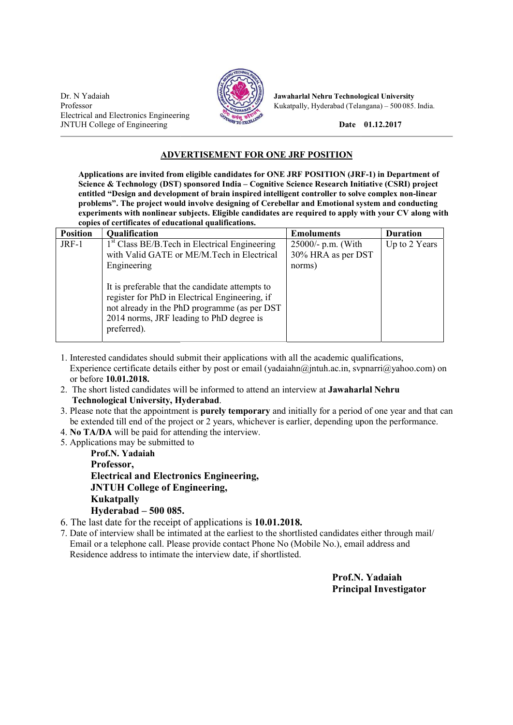Dr. N Yadaiah Professor Electrical and Electronics Engineering  $\frac{1}{\sqrt{N}} \frac{1}{\sqrt{N}} \frac{1}{\sqrt{N}} \frac{1}{\sqrt{N}}$  Date JNTUH College of Engineering



 Jawaharlal Nehru Technological University Jawaharlal Nehru Technological University Kukatpally, Hyderabad (Telangana) Kukatpally, Hyderabad (Telangana) – 500 085. India.

Date 01.12.2017

## **ADVERTISEMENT FOR ONE JRF POSITION**

Applications are invited from eligible candidates for ONE JRF POSITION (JRF-1) in Department of Science & Technology (DST) sponsored India – Cognitive Science Research Initiative (CSRI) project entitled "Design and development of brain inspired intelligent controller to solve complex non-linear entitled "Design and development of brain inspired intelligent controller to solve complex non-linear<br>problems". The project would involve designing of Cerebellar and Emotional system and conducting experiments with nonlinear subjects. Eligible candidates are required to apply with your CV along with copies of certificates of educational qualifications. qualifications.

| <b>Position</b> | <b>Qualification</b>                             | <b>Emoluments</b>    | <b>Duration</b> |
|-----------------|--------------------------------------------------|----------------------|-----------------|
| $JRF-1$         | $1st$ Class BE/B. Tech in Electrical Engineering | $25000/-$ p.m. (With | Up to 2 Years   |
|                 | with Valid GATE or ME/M.Tech in Electrical       | 30% HRA as per DST   |                 |
|                 | Engineering                                      | norms)               |                 |
|                 |                                                  |                      |                 |
|                 | It is preferable that the candidate attempts to  |                      |                 |
|                 | register for PhD in Electrical Engineering, if   |                      |                 |
|                 | not already in the PhD programme (as per DST     |                      |                 |
|                 | 2014 norms, JRF leading to PhD degree is         |                      |                 |
|                 | preferred).                                      |                      |                 |
|                 |                                                  |                      |                 |

- 1. Interested candidates should submit their applications with all the academic qualifications, 1. Interested candidates should submit their applications with all the academic qualifications,<br>Experience certificate details either by post or email (yadaiahn@jntuh.ac.in, svpnarri@yahoo.com) on or before 10.01.2018.
- 2. The short listed candidates will be informed to attend an interview at Jawaharlal Nehru Jawaharlal Nehru Technological University, Hyderabad.
- 3. Please note that the appointment is **purely temporary** and initially for a period of one year and that can be extended till end of the project or 2 years, whichever is earlier, depending upon the performance.
- 4. No TA/DA will be paid for attending the interview.<br>5. Applications may be submitted to
- 5. Applications may be submitted to

Prof.N. Yadaiah Professor, Electrical and Electronics Engineering Engineering, JNTUH College of Engineering Engineering, **Kukatpally** Hyderabad – 500 085 085.

- 6. The last date for the receipt of applications is 10.01.2018.
- 7. Date of interview shall be intimated at the earliest to the shortlisted candidates either through mail/<br>Email or a telephone call. Please provide contact Phone No (Mobile No.), email address and Email or a telephone call. Please provide contact Phone No (Mobile No.), email address and Residence address to intimate the interview date, if shortlisted.

Prof.N. Yadaiah N. Yadaiah **Principal Investigator**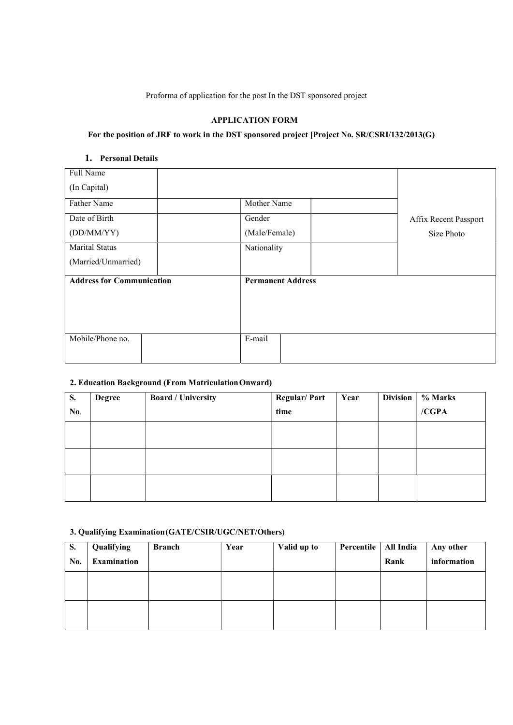Proforma of application for the post In the DST sponsored project

## APPLICATION FORM

## For the position of JRF to work in the DST sponsored project [Project No. SR/CSRI/132/2013(G)

## 1. Personal Details

| Full Name                        |                          |  |                       |
|----------------------------------|--------------------------|--|-----------------------|
| (In Capital)                     |                          |  |                       |
| Father Name                      | Mother Name              |  |                       |
| Date of Birth                    | Gender                   |  | Affix Recent Passport |
| (DD/MM/YY)                       | (Male/Female)            |  | Size Photo            |
| Marital Status                   | Nationality              |  |                       |
| (Married/Unmarried)              |                          |  |                       |
| <b>Address for Communication</b> | <b>Permanent Address</b> |  |                       |
|                                  |                          |  |                       |
|                                  |                          |  |                       |
|                                  |                          |  |                       |
| Mobile/Phone no.                 | E-mail                   |  |                       |
|                                  |                          |  |                       |

# 2. Education Background (From Matriculation Onward)

| <b>S.</b><br>No. | <b>Degree</b> | <b>Board / University</b> | <b>Regular/Part</b><br>time | Year | <b>Division</b> | % Marks<br>/CGPA |
|------------------|---------------|---------------------------|-----------------------------|------|-----------------|------------------|
|                  |               |                           |                             |      |                 |                  |
|                  |               |                           |                             |      |                 |                  |
|                  |               |                           |                             |      |                 |                  |

# 3. Qualifying Examination (GATE/CSIR/UGC/NET/Others)

| S.  | <b>Qualifying</b>  | <b>Branch</b> | Year | Valid up to | Percentile | All India | Any other   |
|-----|--------------------|---------------|------|-------------|------------|-----------|-------------|
| No. | <b>Examination</b> |               |      |             |            | Rank      | information |
|     |                    |               |      |             |            |           |             |
|     |                    |               |      |             |            |           |             |
|     |                    |               |      |             |            |           |             |
|     |                    |               |      |             |            |           |             |